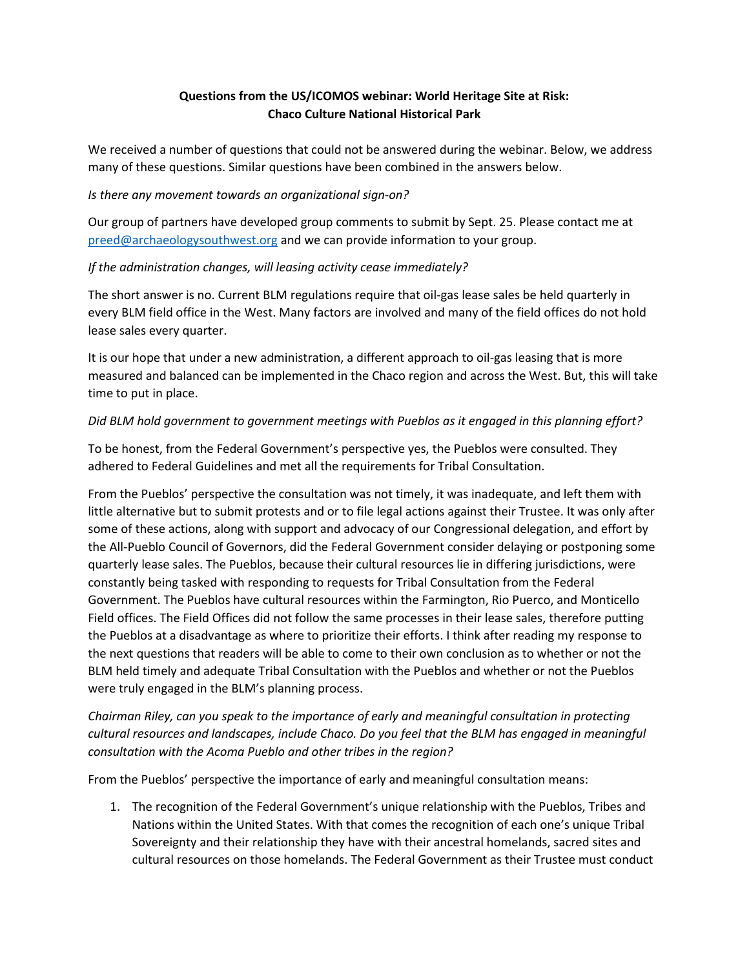## **Questions from the US/ICOMOS webinar: World Heritage Site at Risk: Chaco Culture National Historical Park**

We received a number of questions that could not be answered during the webinar. Below, we address many of these questions. Similar questions have been combined in the answers below.

#### *Is there any movement towards an organizational sign-on?*

Our group of partners have developed group comments to submit by Sept. 25. Please contact me at [preed@archaeologysouthwest.org](about:blank) and we can provide information to your group.

#### *If the administration changes, will leasing activity cease immediately?*

The short answer is no. Current BLM regulations require that oil-gas lease sales be held quarterly in every BLM field office in the West. Many factors are involved and many of the field offices do not hold lease sales every quarter.

It is our hope that under a new administration, a different approach to oil-gas leasing that is more measured and balanced can be implemented in the Chaco region and across the West. But, this will take time to put in place.

#### *Did BLM hold government to government meetings with Pueblos as it engaged in this planning effort?*

To be honest, from the Federal Government's perspective yes, the Pueblos were consulted. They adhered to Federal Guidelines and met all the requirements for Tribal Consultation.

From the Pueblos' perspective the consultation was not timely, it was inadequate, and left them with little alternative but to submit protests and or to file legal actions against their Trustee. It was only after some of these actions, along with support and advocacy of our Congressional delegation, and effort by the All-Pueblo Council of Governors, did the Federal Government consider delaying or postponing some quarterly lease sales. The Pueblos, because their cultural resources lie in differing jurisdictions, were constantly being tasked with responding to requests for Tribal Consultation from the Federal Government. The Pueblos have cultural resources within the Farmington, Rio Puerco, and Monticello Field offices. The Field Offices did not follow the same processes in their lease sales, therefore putting the Pueblos at a disadvantage as where to prioritize their efforts. I think after reading my response to the next questions that readers will be able to come to their own conclusion as to whether or not the BLM held timely and adequate Tribal Consultation with the Pueblos and whether or not the Pueblos were truly engaged in the BLM's planning process.

*Chairman Riley, can you speak to the importance of early and meaningful consultation in protecting cultural resources and landscapes, include Chaco. Do you feel that the BLM has engaged in meaningful consultation with the Acoma Pueblo and other tribes in the region?*

From the Pueblos' perspective the importance of early and meaningful consultation means:

1. The recognition of the Federal Government's unique relationship with the Pueblos, Tribes and Nations within the United States. With that comes the recognition of each one's unique Tribal Sovereignty and their relationship they have with their ancestral homelands, sacred sites and cultural resources on those homelands. The Federal Government as their Trustee must conduct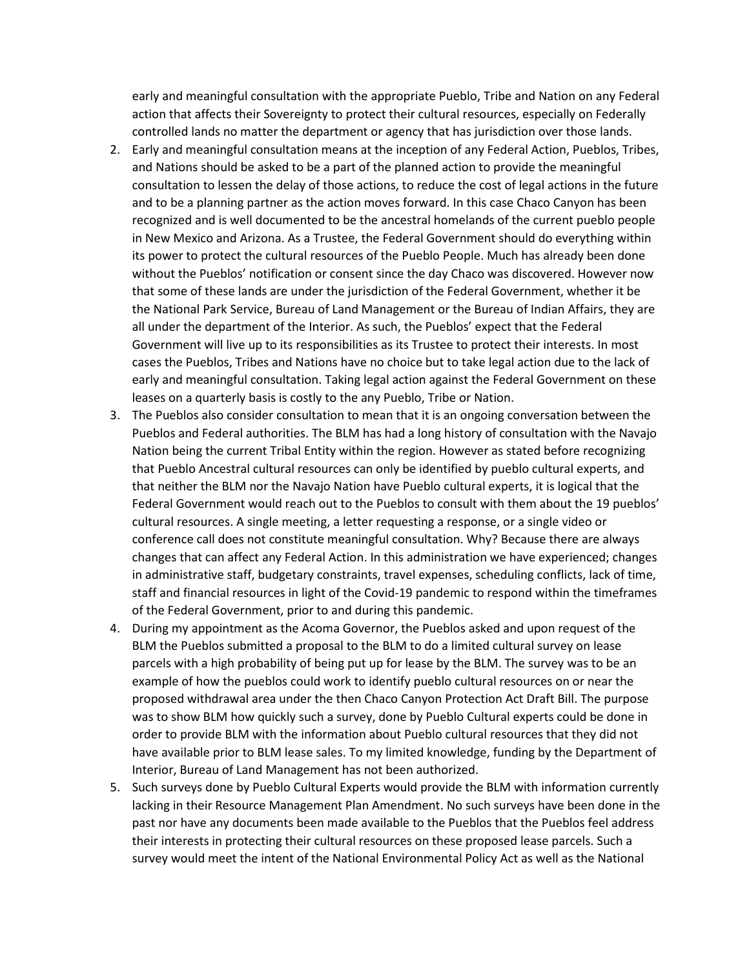early and meaningful consultation with the appropriate Pueblo, Tribe and Nation on any Federal action that affects their Sovereignty to protect their cultural resources, especially on Federally controlled lands no matter the department or agency that has jurisdiction over those lands.

- 2. Early and meaningful consultation means at the inception of any Federal Action, Pueblos, Tribes, and Nations should be asked to be a part of the planned action to provide the meaningful consultation to lessen the delay of those actions, to reduce the cost of legal actions in the future and to be a planning partner as the action moves forward. In this case Chaco Canyon has been recognized and is well documented to be the ancestral homelands of the current pueblo people in New Mexico and Arizona. As a Trustee, the Federal Government should do everything within its power to protect the cultural resources of the Pueblo People. Much has already been done without the Pueblos' notification or consent since the day Chaco was discovered. However now that some of these lands are under the jurisdiction of the Federal Government, whether it be the National Park Service, Bureau of Land Management or the Bureau of Indian Affairs, they are all under the department of the Interior. As such, the Pueblos' expect that the Federal Government will live up to its responsibilities as its Trustee to protect their interests. In most cases the Pueblos, Tribes and Nations have no choice but to take legal action due to the lack of early and meaningful consultation. Taking legal action against the Federal Government on these leases on a quarterly basis is costly to the any Pueblo, Tribe or Nation.
- 3. The Pueblos also consider consultation to mean that it is an ongoing conversation between the Pueblos and Federal authorities. The BLM has had a long history of consultation with the Navajo Nation being the current Tribal Entity within the region. However as stated before recognizing that Pueblo Ancestral cultural resources can only be identified by pueblo cultural experts, and that neither the BLM nor the Navajo Nation have Pueblo cultural experts, it is logical that the Federal Government would reach out to the Pueblos to consult with them about the 19 pueblos' cultural resources. A single meeting, a letter requesting a response, or a single video or conference call does not constitute meaningful consultation. Why? Because there are always changes that can affect any Federal Action. In this administration we have experienced; changes in administrative staff, budgetary constraints, travel expenses, scheduling conflicts, lack of time, staff and financial resources in light of the Covid-19 pandemic to respond within the timeframes of the Federal Government, prior to and during this pandemic.
- 4. During my appointment as the Acoma Governor, the Pueblos asked and upon request of the BLM the Pueblos submitted a proposal to the BLM to do a limited cultural survey on lease parcels with a high probability of being put up for lease by the BLM. The survey was to be an example of how the pueblos could work to identify pueblo cultural resources on or near the proposed withdrawal area under the then Chaco Canyon Protection Act Draft Bill. The purpose was to show BLM how quickly such a survey, done by Pueblo Cultural experts could be done in order to provide BLM with the information about Pueblo cultural resources that they did not have available prior to BLM lease sales. To my limited knowledge, funding by the Department of Interior, Bureau of Land Management has not been authorized.
- 5. Such surveys done by Pueblo Cultural Experts would provide the BLM with information currently lacking in their Resource Management Plan Amendment. No such surveys have been done in the past nor have any documents been made available to the Pueblos that the Pueblos feel address their interests in protecting their cultural resources on these proposed lease parcels. Such a survey would meet the intent of the National Environmental Policy Act as well as the National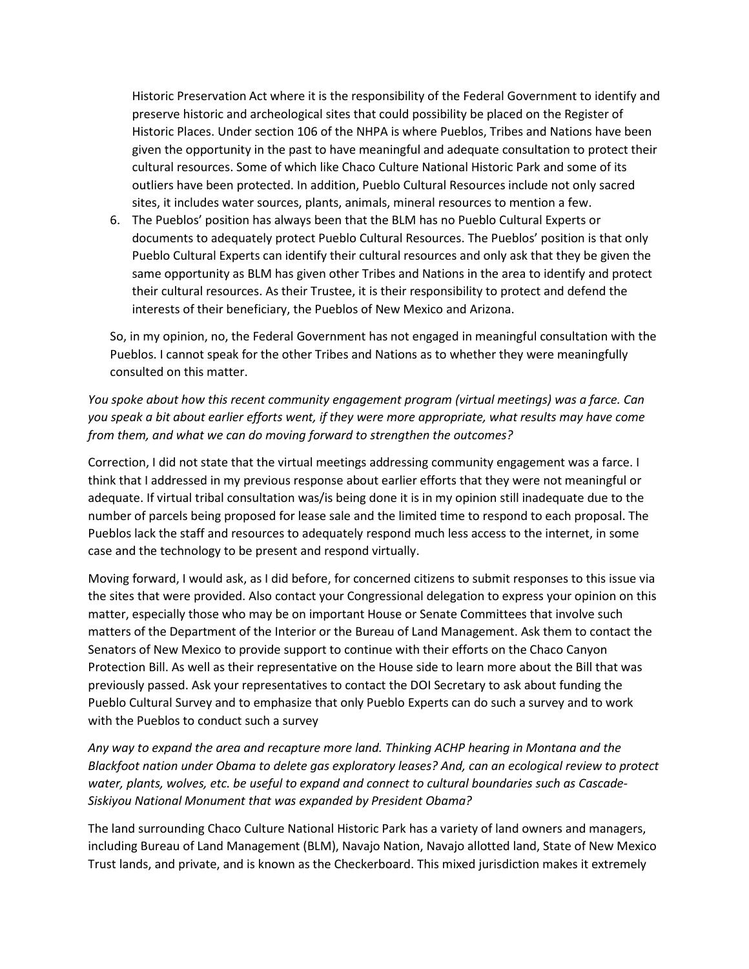Historic Preservation Act where it is the responsibility of the Federal Government to identify and preserve historic and archeological sites that could possibility be placed on the Register of Historic Places. Under section 106 of the NHPA is where Pueblos, Tribes and Nations have been given the opportunity in the past to have meaningful and adequate consultation to protect their cultural resources. Some of which like Chaco Culture National Historic Park and some of its outliers have been protected. In addition, Pueblo Cultural Resources include not only sacred sites, it includes water sources, plants, animals, mineral resources to mention a few.

6. The Pueblos' position has always been that the BLM has no Pueblo Cultural Experts or documents to adequately protect Pueblo Cultural Resources. The Pueblos' position is that only Pueblo Cultural Experts can identify their cultural resources and only ask that they be given the same opportunity as BLM has given other Tribes and Nations in the area to identify and protect their cultural resources. As their Trustee, it is their responsibility to protect and defend the interests of their beneficiary, the Pueblos of New Mexico and Arizona.

So, in my opinion, no, the Federal Government has not engaged in meaningful consultation with the Pueblos. I cannot speak for the other Tribes and Nations as to whether they were meaningfully consulted on this matter.

*You spoke about how this recent community engagement program (virtual meetings) was a farce. Can you speak a bit about earlier efforts went, if they were more appropriate, what results may have come from them, and what we can do moving forward to strengthen the outcomes?*

Correction, I did not state that the virtual meetings addressing community engagement was a farce. I think that I addressed in my previous response about earlier efforts that they were not meaningful or adequate. If virtual tribal consultation was/is being done it is in my opinion still inadequate due to the number of parcels being proposed for lease sale and the limited time to respond to each proposal. The Pueblos lack the staff and resources to adequately respond much less access to the internet, in some case and the technology to be present and respond virtually.

Moving forward, I would ask, as I did before, for concerned citizens to submit responses to this issue via the sites that were provided. Also contact your Congressional delegation to express your opinion on this matter, especially those who may be on important House or Senate Committees that involve such matters of the Department of the Interior or the Bureau of Land Management. Ask them to contact the Senators of New Mexico to provide support to continue with their efforts on the Chaco Canyon Protection Bill. As well as their representative on the House side to learn more about the Bill that was previously passed. Ask your representatives to contact the DOI Secretary to ask about funding the Pueblo Cultural Survey and to emphasize that only Pueblo Experts can do such a survey and to work with the Pueblos to conduct such a survey

*Any way to expand the area and recapture more land. Thinking ACHP hearing in Montana and the Blackfoot nation under Obama to delete gas exploratory leases? And, can an ecological review to protect water, plants, wolves, etc. be useful to expand and connect to cultural boundaries such as Cascade-Siskiyou National Monument that was expanded by President Obama?*

The land surrounding Chaco Culture National Historic Park has a variety of land owners and managers, including Bureau of Land Management (BLM), Navajo Nation, Navajo allotted land, State of New Mexico Trust lands, and private, and is known as the Checkerboard. This mixed jurisdiction makes it extremely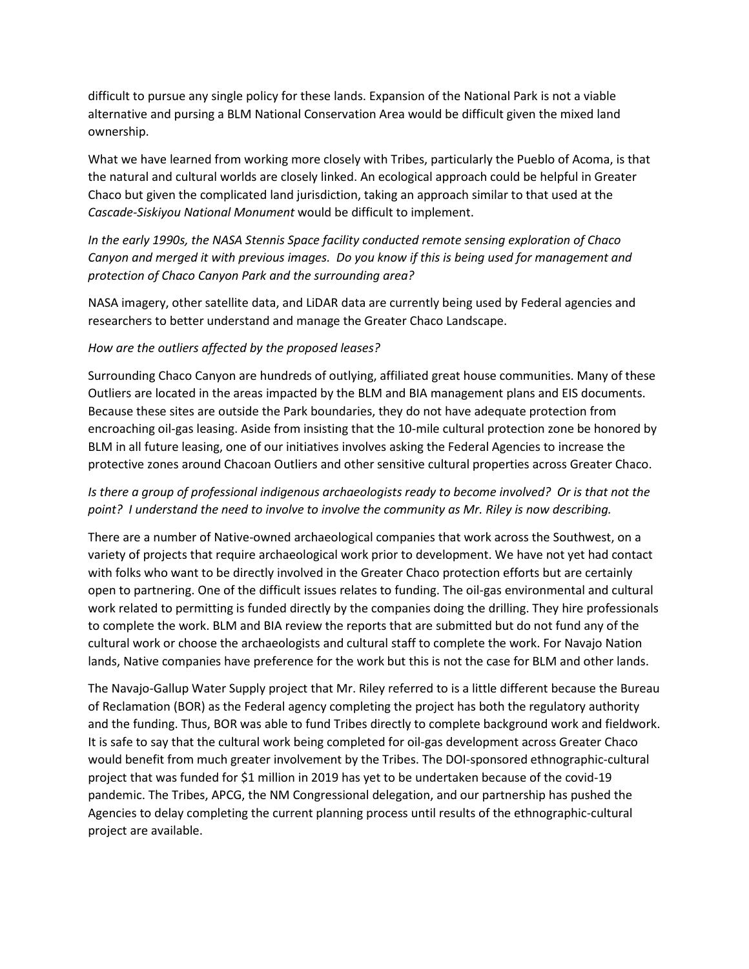difficult to pursue any single policy for these lands. Expansion of the National Park is not a viable alternative and pursing a BLM National Conservation Area would be difficult given the mixed land ownership.

What we have learned from working more closely with Tribes, particularly the Pueblo of Acoma, is that the natural and cultural worlds are closely linked. An ecological approach could be helpful in Greater Chaco but given the complicated land jurisdiction, taking an approach similar to that used at the *Cascade-Siskiyou National Monument* would be difficult to implement.

*In the early 1990s, the NASA Stennis Space facility conducted remote sensing exploration of Chaco Canyon and merged it with previous images. Do you know if this is being used for management and protection of Chaco Canyon Park and the surrounding area?*

NASA imagery, other satellite data, and LiDAR data are currently being used by Federal agencies and researchers to better understand and manage the Greater Chaco Landscape.

#### *How are the outliers affected by the proposed leases?*

Surrounding Chaco Canyon are hundreds of outlying, affiliated great house communities. Many of these Outliers are located in the areas impacted by the BLM and BIA management plans and EIS documents. Because these sites are outside the Park boundaries, they do not have adequate protection from encroaching oil-gas leasing. Aside from insisting that the 10-mile cultural protection zone be honored by BLM in all future leasing, one of our initiatives involves asking the Federal Agencies to increase the protective zones around Chacoan Outliers and other sensitive cultural properties across Greater Chaco.

### *Is there a group of professional indigenous archaeologists ready to become involved? Or is that not the point? I understand the need to involve to involve the community as Mr. Riley is now describing.*

There are a number of Native-owned archaeological companies that work across the Southwest, on a variety of projects that require archaeological work prior to development. We have not yet had contact with folks who want to be directly involved in the Greater Chaco protection efforts but are certainly open to partnering. One of the difficult issues relates to funding. The oil-gas environmental and cultural work related to permitting is funded directly by the companies doing the drilling. They hire professionals to complete the work. BLM and BIA review the reports that are submitted but do not fund any of the cultural work or choose the archaeologists and cultural staff to complete the work. For Navajo Nation lands, Native companies have preference for the work but this is not the case for BLM and other lands.

The Navajo-Gallup Water Supply project that Mr. Riley referred to is a little different because the Bureau of Reclamation (BOR) as the Federal agency completing the project has both the regulatory authority and the funding. Thus, BOR was able to fund Tribes directly to complete background work and fieldwork. It is safe to say that the cultural work being completed for oil-gas development across Greater Chaco would benefit from much greater involvement by the Tribes. The DOI-sponsored ethnographic-cultural project that was funded for \$1 million in 2019 has yet to be undertaken because of the covid-19 pandemic. The Tribes, APCG, the NM Congressional delegation, and our partnership has pushed the Agencies to delay completing the current planning process until results of the ethnographic-cultural project are available.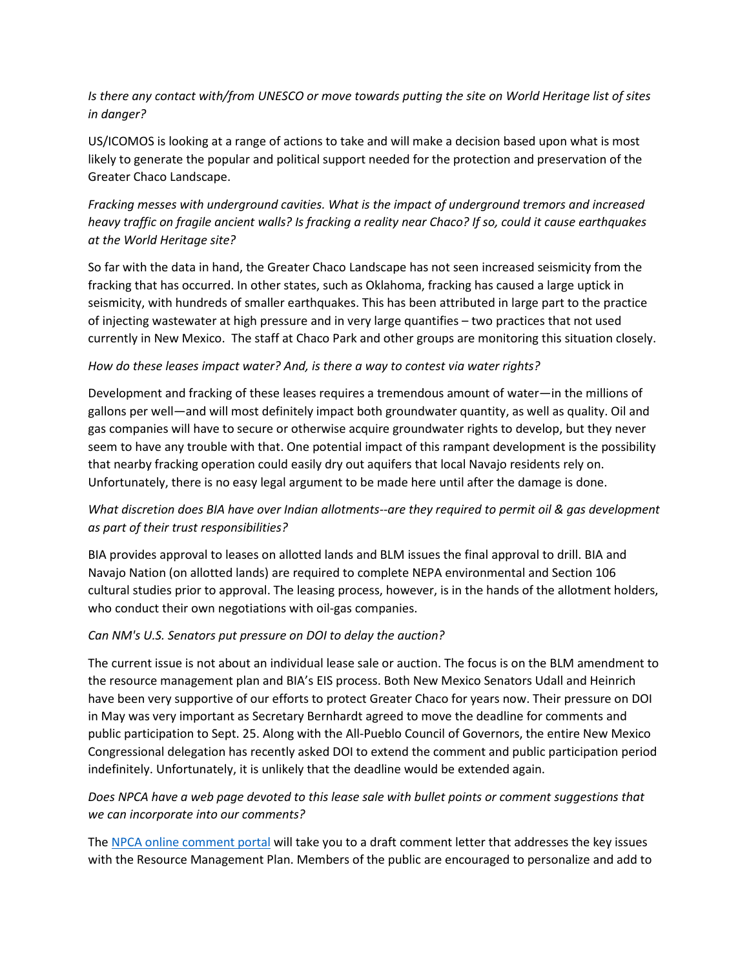## *Is there any contact with/from UNESCO or move towards putting the site on World Heritage list of sites in danger?*

US/ICOMOS is looking at a range of actions to take and will make a decision based upon what is most likely to generate the popular and political support needed for the protection and preservation of the Greater Chaco Landscape.

# *Fracking messes with underground cavities. What is the impact of underground tremors and increased heavy traffic on fragile ancient walls? Is fracking a reality near Chaco? If so, could it cause earthquakes at the World Heritage site?*

So far with the data in hand, the Greater Chaco Landscape has not seen increased seismicity from the fracking that has occurred. In other states, such as Oklahoma, fracking has caused a large uptick in seismicity, with hundreds of smaller earthquakes. This has been attributed in large part to the practice of injecting wastewater at high pressure and in very large quantifies – two practices that not used currently in New Mexico. The staff at Chaco Park and other groups are monitoring this situation closely.

### *How do these leases impact water? And, is there a way to contest via water rights?*

Development and fracking of these leases requires a tremendous amount of water—in the millions of gallons per well—and will most definitely impact both groundwater quantity, as well as quality. Oil and gas companies will have to secure or otherwise acquire groundwater rights to develop, but they never seem to have any trouble with that. One potential impact of this rampant development is the possibility that nearby fracking operation could easily dry out aquifers that local Navajo residents rely on. Unfortunately, there is no easy legal argument to be made here until after the damage is done.

# *What discretion does BIA have over Indian allotments--are they required to permit oil & gas development as part of their trust responsibilities?*

BIA provides approval to leases on allotted lands and BLM issues the final approval to drill. BIA and Navajo Nation (on allotted lands) are required to complete NEPA environmental and Section 106 cultural studies prior to approval. The leasing process, however, is in the hands of the allotment holders, who conduct their own negotiations with oil-gas companies.

### *Can NM's U.S. Senators put pressure on DOI to delay the auction?*

The current issue is not about an individual lease sale or auction. The focus is on the BLM amendment to the resource management plan and BIA's EIS process. Both New Mexico Senators Udall and Heinrich have been very supportive of our efforts to protect Greater Chaco for years now. Their pressure on DOI in May was very important as Secretary Bernhardt agreed to move the deadline for comments and public participation to Sept. 25. Along with the All-Pueblo Council of Governors, the entire New Mexico Congressional delegation has recently asked DOI to extend the comment and public participation period indefinitely. Unfortunately, it is unlikely that the deadline would be extended again.

## *Does NPCA have a web page devoted to this lease sale with bullet points or comment suggestions that we can incorporate into our comments?*

The NPCA [online comment portal](about:blank) will take you to a draft comment letter that addresses the key issues with the Resource Management Plan. Members of the public are encouraged to personalize and add to